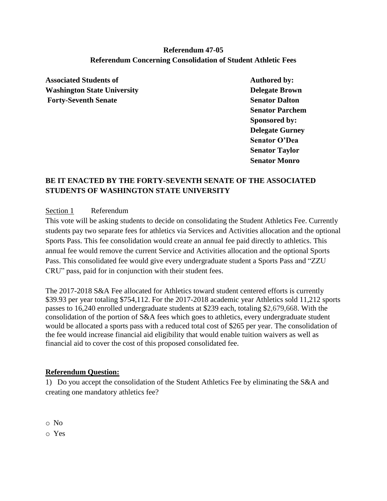## **Referendum 47-05 Referendum Concerning Consolidation of Student Athletic Fees**

Associated Students of **Authored by: Washington State University Delegate Brown Forty-Seventh Senate Senator Dalton** 

**Senator Parchem Sponsored by: Delegate Gurney Senator O'Dea Senator Taylor Senator Monro**

## **BE IT ENACTED BY THE FORTY-SEVENTH SENATE OF THE ASSOCIATED STUDENTS OF WASHINGTON STATE UNIVERSITY**

## Section 1Referendum

This vote will be asking students to decide on consolidating the Student Athletics Fee. Currently students pay two separate fees for athletics via Services and Activities allocation and the optional Sports Pass. This fee consolidation would create an annual fee paid directly to athletics. This annual fee would remove the current Service and Activities allocation and the optional Sports Pass. This consolidated fee would give every undergraduate student a Sports Pass and "ZZU CRU" pass, paid for in conjunction with their student fees.

The 2017-2018 S&A Fee allocated for Athletics toward student centered efforts is currently \$39.93 per year totaling \$754,112. For the 2017-2018 academic year Athletics sold 11,212 sports passes to 16,240 enrolled undergraduate students at \$239 each, totaling \$2,679,668. With the consolidation of the portion of S&A fees which goes to athletics, every undergraduate student would be allocated a sports pass with a reduced total cost of \$265 per year. The consolidation of the fee would increase financial aid eligibility that would enable tuition waivers as well as financial aid to cover the cost of this proposed consolidated fee.

## **Referendum Question:**

1) Do you accept the consolidation of the Student Athletics Fee by eliminating the S&A and creating one mandatory athletics fee?

o No

o Yes